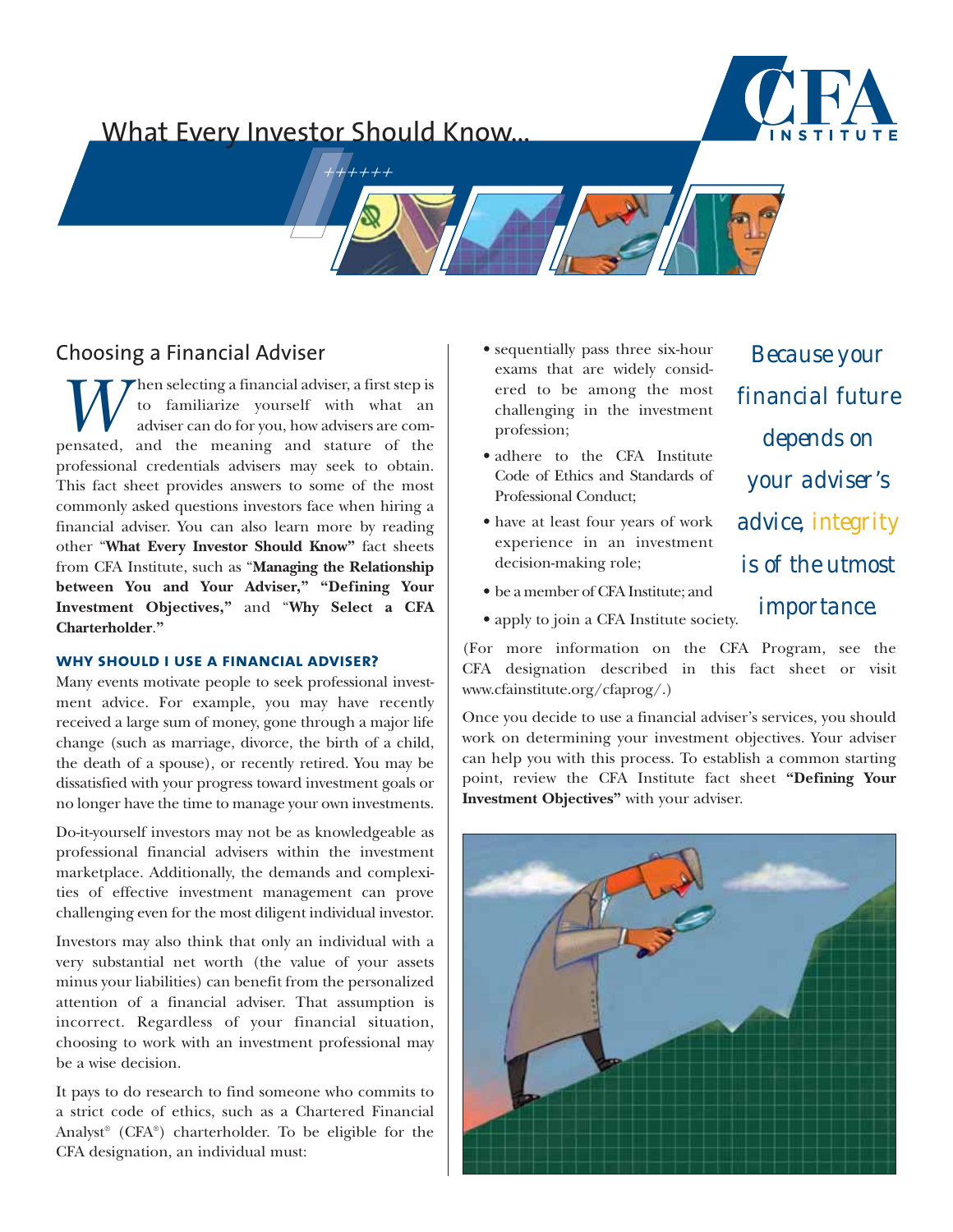# What Every Investor Should Know...



*Because your*

*financial future*

*depends on*

*your adviser's*

*advice, integrity*

*is of the utmost*

*importance.*



# Choosing a Financial Adviser

**W** to familiarize yourself with what an adviser can do for you, how advisers are compensated, and the meaning and stature of the to familiarize yourself with what an adviser can do for you, how advisers are comprofessional credentials advisers may seek to obtain. This fact sheet provides answers to some of the most commonly asked questions investors face when hiring a financial adviser. You can also learn more by reading other "**What Every Investor Should Know"** fact sheets from CFA Institute, such as "**Managing the Relationship between You and Your Adviser," "Defining Your Investment Objectives,"** and "**Why Select a CFA Charterholder**.**"**

# **why should i use a financial adviser?**

Many events motivate people to seek professional investment advice. For example, you may have recently received a large sum of money, gone through a major life change (such as marriage, divorce, the birth of a child, the death of a spouse), or recently retired. You may be dissatisfied with your progress toward investment goals or no longer have the time to manage your own investments.

Do-it-yourself investors may not be as knowledgeable as professional financial advisers within the investment marketplace. Additionally, the demands and complexities of effective investment management can prove challenging even for the most diligent individual investor.

Investors may also think that only an individual with a very substantial net worth (the value of your assets minus your liabilities) can benefit from the personalized attention of a financial adviser. That assumption is incorrect. Regardless of your financial situation, choosing to work with an investment professional may be a wise decision.

It pays to do research to find someone who commits to a strict code of ethics, such as a Chartered Financial Analyst® (CFA®) charterholder. To be eligible for the CFA designation, an individual must:

- sequentially pass three six-hour exams that are widely considered to be among the most challenging in the investment profession;
- adhere to the CFA Institute Code of Ethics and Standards of Professional Conduct;
- have at least four years of work experience in an investment decision-making role;
- be a member of CFA Institute; and
- apply to join a CFA Institute society.

(For more information on the CFA Program, see the CFA designation described in this fact sheet or visit www.cfainstitute.org/cfaprog/.)

Once you decide to use a financial adviser's services, you should work on determining your investment objectives. Your adviser can help you with this process. To establish a common starting point, review the CFA Institute fact sheet **"Defining Your Investment Objectives"** with your adviser.

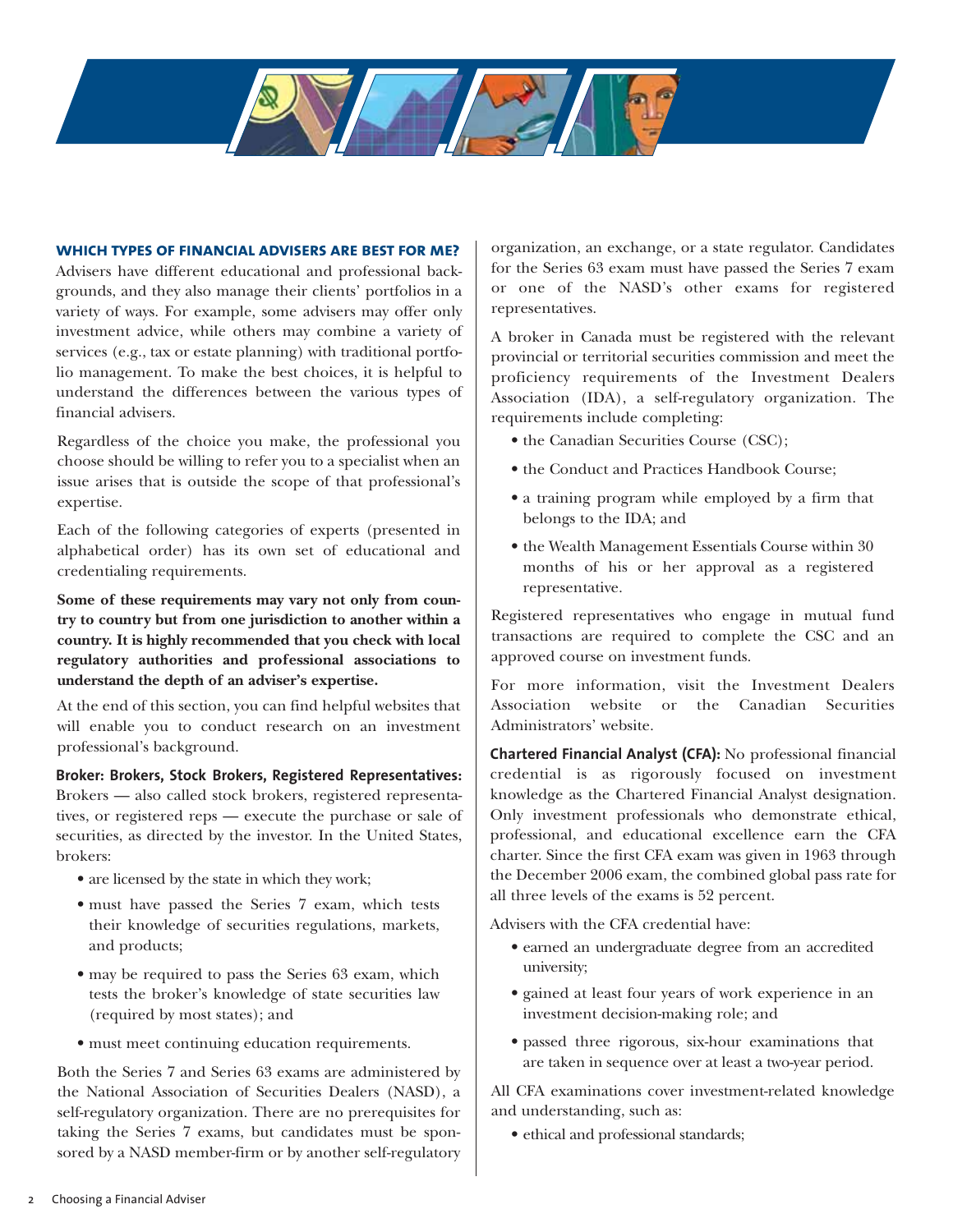#### **which types of financial advisers are best for me?**

Advisers have different educational and professional backgrounds, and they also manage their clients' portfolios in a variety of ways. For example, some advisers may offer only investment advice, while others may combine a variety of services (e.g., tax or estate planning) with traditional portfolio management. To make the best choices, it is helpful to understand the differences between the various types of financial advisers.

Regardless of the choice you make, the professional you choose should be willing to refer you to a specialist when an issue arises that is outside the scope of that professional's expertise.

Each of the following categories of experts (presented in alphabetical order) has its own set of educational and credentialing requirements.

**Some of these requirements may vary not only from country to country but from one jurisdiction to another within a country. It is highly recommended that you check with local regulatory authorities and professional associations to understand the depth of an adviser's expertise.**

At the end of this section, you can find helpful websites that will enable you to conduct research on an investment professional's background.

**Broker: Brokers, Stock Brokers, Registered Representatives:** Brokers — also called stock brokers, registered representatives, or registered reps — execute the purchase or sale of securities, as directed by the investor. In the United States, brokers:

- are licensed by the state in which they work;
- must have passed the Series 7 exam, which tests their knowledge of securities regulations, markets, and products;
- may be required to pass the Series 63 exam, which tests the broker's knowledge of state securities law (required by most states); and
- must meet continuing education requirements.

Both the Series 7 and Series 63 exams are administered by the National Association of Securities Dealers (NASD), a self-regulatory organization. There are no prerequisites for taking the Series 7 exams, but candidates must be sponsored by a NASD member-firm or by another self-regulatory organization, an exchange, or a state regulator. Candidates for the Series 63 exam must have passed the Series 7 exam or one of the NASD's other exams for registered representatives.

A broker in Canada must be registered with the relevant provincial or territorial securities commission and meet the proficiency requirements of the Investment Dealers Association (IDA), a self-regulatory organization. The requirements include completing:

- the Canadian Securities Course (CSC);
- the Conduct and Practices Handbook Course;
- a training program while employed by a firm that belongs to the IDA; and
- the Wealth Management Essentials Course within 30 months of his or her approval as a registered representative.

Registered representatives who engage in mutual fund transactions are required to complete the CSC and an approved course on investment funds.

For more information, visit the Investment Dealers Association website or the Canadian Securities Administrators' website.

**Chartered Financial Analyst (CFA):** No professional financial credential is as rigorously focused on investment knowledge as the Chartered Financial Analyst designation. Only investment professionals who demonstrate ethical, professional, and educational excellence earn the CFA charter. Since the first CFA exam was given in 1963 through the December 2006 exam, the combined global pass rate for all three levels of the exams is 52 percent.

Advisers with the CFA credential have:

- earned an undergraduate degree from an accredited university;
- gained at least four years of work experience in an investment decision-making role; and
- passed three rigorous, six-hour examinations that are taken in sequence over at least a two-year period.

All CFA examinations cover investment-related knowledge and understanding, such as:

• ethical and professional standards;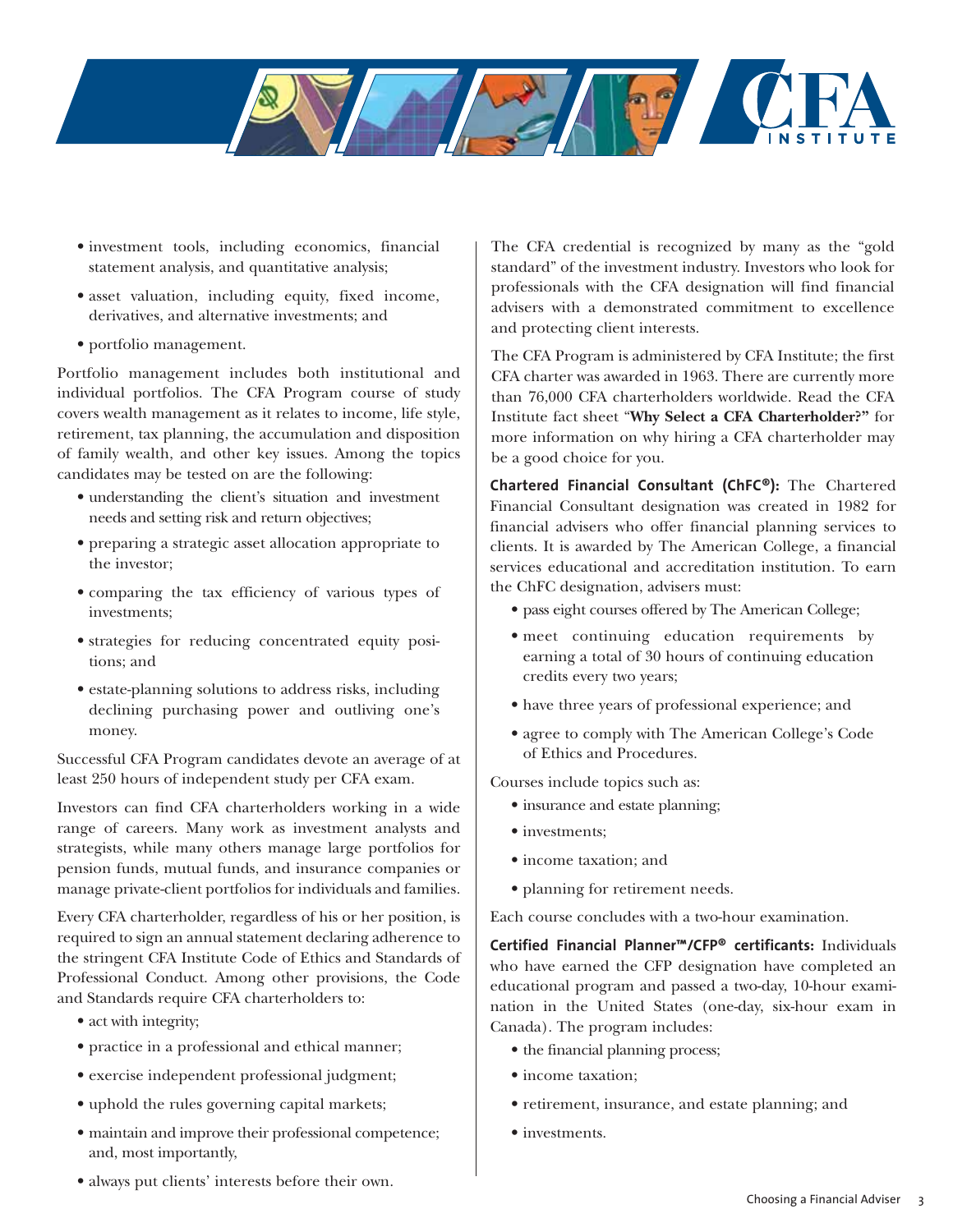

- investment tools, including economics, financial statement analysis, and quantitative analysis;
- asset valuation, including equity, fixed income, derivatives, and alternative investments; and
- portfolio management.

Portfolio management includes both institutional and individual portfolios. The CFA Program course of study covers wealth management as it relates to income, life style, retirement, tax planning, the accumulation and disposition of family wealth, and other key issues. Among the topics candidates may be tested on are the following:

- understanding the client's situation and investment needs and setting risk and return objectives;
- preparing a strategic asset allocation appropriate to the investor;
- comparing the tax efficiency of various types of investments;
- strategies for reducing concentrated equity positions; and
- estate-planning solutions to address risks, including declining purchasing power and outliving one's money.

Successful CFA Program candidates devote an average of at least 250 hours of independent study per CFA exam.

Investors can find CFA charterholders working in a wide range of careers. Many work as investment analysts and strategists, while many others manage large portfolios for pension funds, mutual funds, and insurance companies or manage private-client portfolios for individuals and families.

Every CFA charterholder, regardless of his or her position, is required to sign an annual statement declaring adherence to the stringent CFA Institute Code of Ethics and Standards of Professional Conduct. Among other provisions, the Code and Standards require CFA charterholders to:

- act with integrity;
- practice in a professional and ethical manner;
- exercise independent professional judgment;
- uphold the rules governing capital markets;
- maintain and improve their professional competence; and, most importantly,

The CFA credential is recognized by many as the "gold standard" of the investment industry. Investors who look for professionals with the CFA designation will find financial advisers with a demonstrated commitment to excellence and protecting client interests.

The CFA Program is administered by CFA Institute; the first CFA charter was awarded in 1963. There are currently more than 76,000 CFA charterholders worldwide. Read the CFA Institute fact sheet "**Why Select a CFA Charterholder?"** for more information on why hiring a CFA charterholder may be a good choice for you.

**Chartered Financial Consultant (ChFC®):** The Chartered Financial Consultant designation was created in 1982 for financial advisers who offer financial planning services to clients. It is awarded by The American College, a financial services educational and accreditation institution. To earn the ChFC designation, advisers must:

- pass eight courses offered by The American College;
- meet continuing education requirements by earning a total of 30 hours of continuing education credits every two years;
- have three years of professional experience; and
- agree to comply with The American College's Code of Ethics and Procedures.

Courses include topics such as:

- insurance and estate planning;
- investments;
- income taxation; and
- planning for retirement needs.

Each course concludes with a two-hour examination.

**Certified Financial Planner™/CFP® certificants:** Individuals who have earned the CFP designation have completed an educational program and passed a two-day, 10-hour examination in the United States (one-day, six-hour exam in Canada). The program includes:

- the financial planning process;
- income taxation;
- retirement, insurance, and estate planning; and
- investments.
- always put clients' interests before their own.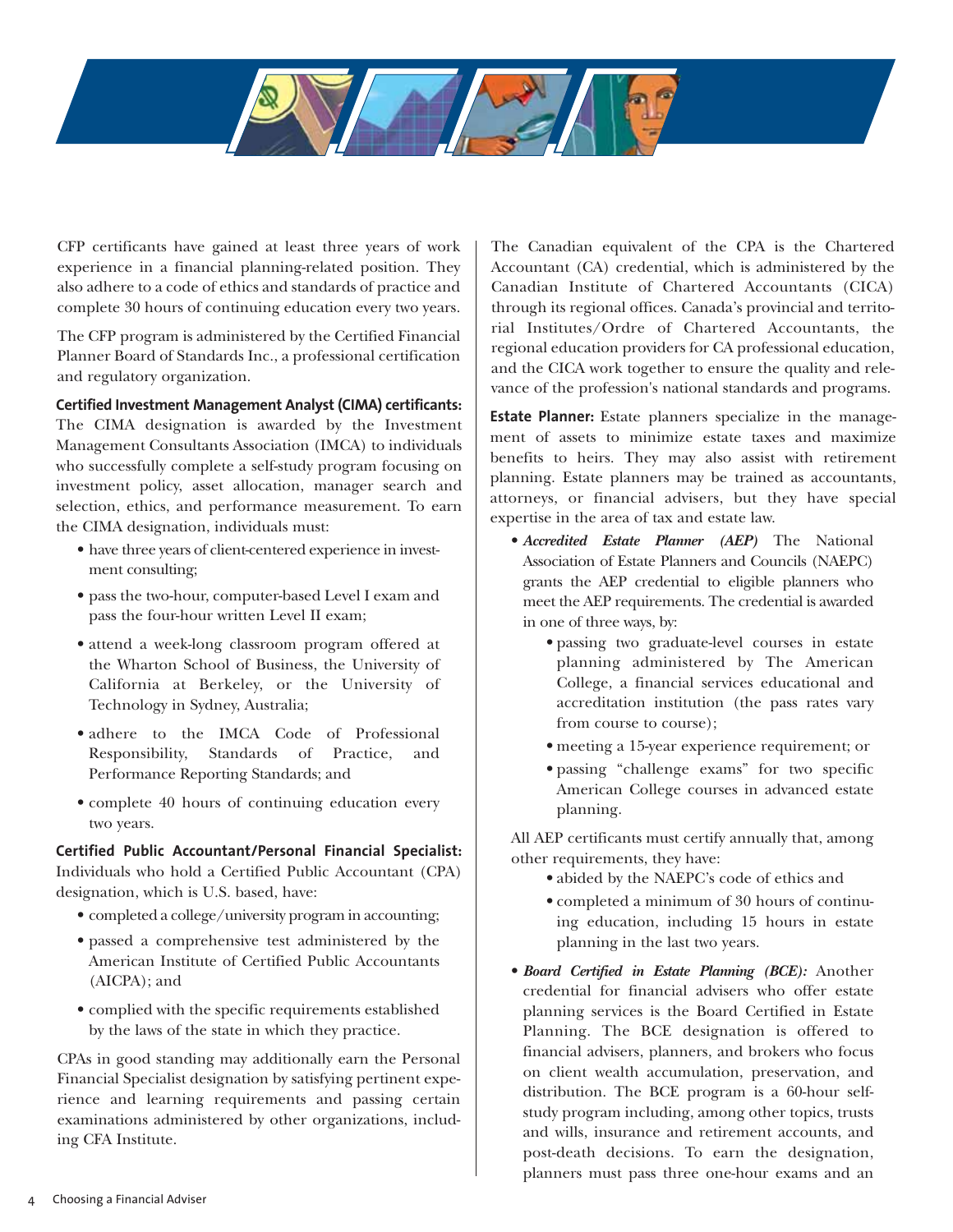CFP certificants have gained at least three years of work experience in a financial planning-related position. They also adhere to a code of ethics and standards of practice and complete 30 hours of continuing education every two years.

The CFP program is administered by the Certified Financial Planner Board of Standards Inc., a professional certification and regulatory organization.

# **Certified Investment Management Analyst (CIMA) certificants:**

The CIMA designation is awarded by the Investment Management Consultants Association (IMCA) to individuals who successfully complete a self-study program focusing on investment policy, asset allocation, manager search and selection, ethics, and performance measurement. To earn the CIMA designation, individuals must:

- have three years of client-centered experience in investment consulting;
- pass the two-hour, computer-based Level I exam and pass the four-hour written Level II exam;
- attend a week-long classroom program offered at the Wharton School of Business, the University of California at Berkeley, or the University of Technology in Sydney, Australia;
- adhere to the IMCA Code of Professional Responsibility, Standards of Practice, and Performance Reporting Standards; and
- complete 40 hours of continuing education every two years.

**Certified Public Accountant/Personal Financial Specialist:** Individuals who hold a Certified Public Accountant (CPA) designation, which is U.S. based, have:

- completed a college/university program in accounting;
- passed a comprehensive test administered by the American Institute of Certified Public Accountants (AICPA); and
- complied with the specific requirements established by the laws of the state in which they practice.

CPAs in good standing may additionally earn the Personal Financial Specialist designation by satisfying pertinent experience and learning requirements and passing certain examinations administered by other organizations, including CFA Institute.

The Canadian equivalent of the CPA is the Chartered Accountant (CA) credential, which is administered by the Canadian Institute of Chartered Accountants (CICA) through its regional offices. Canada's provincial and territorial Institutes/Ordre of Chartered Accountants, the regional education providers for CA professional education, and the CICA work together to ensure the quality and relevance of the profession's national standards and programs.

**Estate Planner:** Estate planners specialize in the management of assets to minimize estate taxes and maximize benefits to heirs. They may also assist with retirement planning. Estate planners may be trained as accountants, attorneys, or financial advisers, but they have special expertise in the area of tax and estate law.

- *Accredited Estate Planner (AEP)* The National Association of Estate Planners and Councils (NAEPC) grants the AEP credential to eligible planners who meet the AEP requirements. The credential is awarded in one of three ways, by:
	- passing two graduate-level courses in estate planning administered by The American College, a financial services educational and accreditation institution (the pass rates vary from course to course);
	- meeting a 15-year experience requirement; or
	- passing "challenge exams" for two specific American College courses in advanced estate planning.

All AEP certificants must certify annually that, among other requirements, they have:

- abided by the NAEPC's code of ethics and
- completed a minimum of 30 hours of continuing education, including 15 hours in estate planning in the last two years.
- *Board Certified in Estate Planning (BCE):* Another credential for financial advisers who offer estate planning services is the Board Certified in Estate Planning. The BCE designation is offered to financial advisers, planners, and brokers who focus on client wealth accumulation, preservation, and distribution. The BCE program is a 60-hour selfstudy program including, among other topics, trusts and wills, insurance and retirement accounts, and post-death decisions. To earn the designation, planners must pass three one-hour exams and an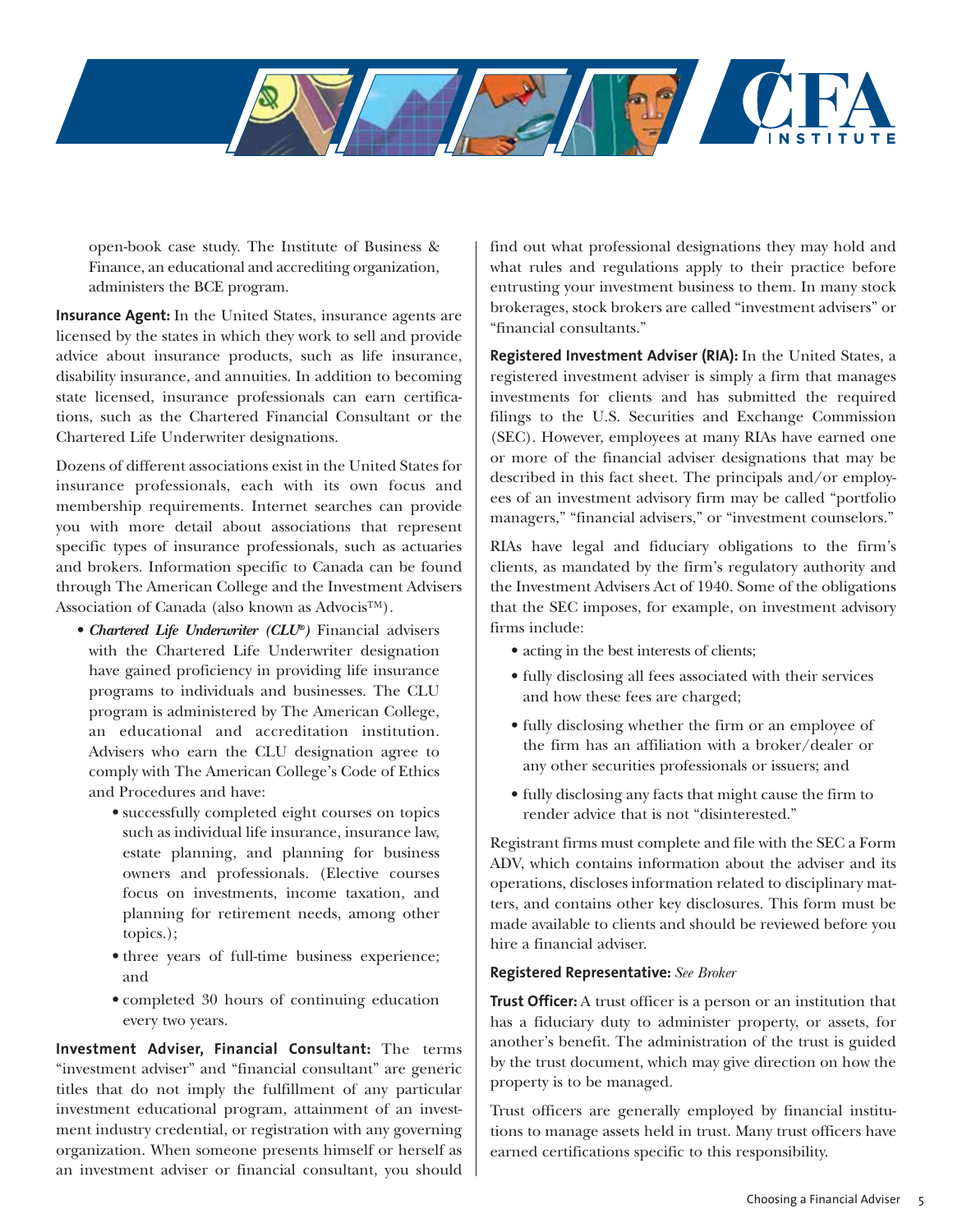

open-book case study. The Institute of Business & Finance, an educational and accrediting organization, administers the BCE program.

**Insurance Agent:** In the United States, insurance agents are licensed by the states in which they work to sell and provide advice about insurance products, such as life insurance, disability insurance, and annuities. In addition to becoming state licensed, insurance professionals can earn certifications, such as the Chartered Financial Consultant or the Chartered Life Underwriter designations.

Dozens of different associations exist in the United States for insurance professionals, each with its own focus and membership requirements. Internet searches can provide you with more detail about associations that represent specific types of insurance professionals, such as actuaries and brokers. Information specific to Canada can be found through The American College and the Investment Advisers Association of Canada (also known as Advocis™).

- *Chartered Life Underwriter (CLU®)* Financial advisers with the Chartered Life Underwriter designation have gained proficiency in providing life insurance programs to individuals and businesses. The CLU program is administered by The American College, an educational and accreditation institution. Advisers who earn the CLU designation agree to comply with The American College's Code of Ethics and Procedures and have:
	- successfully completed eight courses on topics such as individual life insurance, insurance law, estate planning, and planning for business owners and professionals. (Elective courses focus on investments, income taxation, and planning for retirement needs, among other topics.);
	- three years of full-time business experience; and
	- completed 30 hours of continuing education every two years.

**Investment Adviser, Financial Consultant:** The terms "investment adviser" and "financial consultant" are generic titles that do not imply the fulfillment of any particular investment educational program, attainment of an investment industry credential, or registration with any governing organization. When someone presents himself or herself as an investment adviser or financial consultant, you should

find out what professional designations they may hold and what rules and regulations apply to their practice before entrusting your investment business to them. In many stock brokerages, stock brokers are called "investment advisers" or "financial consultants."

**Registered Investment Adviser (RIA):** In the United States, a registered investment adviser is simply a firm that manages investments for clients and has submitted the required filings to the U.S. Securities and Exchange Commission (SEC). However, employees at many RIAs have earned one or more of the financial adviser designations that may be described in this fact sheet. The principals and/or employees of an investment advisory firm may be called "portfolio managers," "financial advisers," or "investment counselors."

RIAs have legal and fiduciary obligations to the firm's clients, as mandated by the firm's regulatory authority and the Investment Advisers Act of 1940. Some of the obligations that the SEC imposes, for example, on investment advisory firms include:

- acting in the best interests of clients;
- fully disclosing all fees associated with their services and how these fees are charged;
- fully disclosing whether the firm or an employee of the firm has an affiliation with a broker/dealer or any other securities professionals or issuers; and
- fully disclosing any facts that might cause the firm to render advice that is not "disinterested."

Registrant firms must complete and file with the SEC a Form ADV, which contains information about the adviser and its operations, discloses information related to disciplinary matters, and contains other key disclosures. This form must be made available to clients and should be reviewed before you hire a financial adviser.

# **Registered Representative:** *See Broker*

**Trust Officer:** A trust officer is a person or an institution that has a fiduciary duty to administer property, or assets, for another's benefit. The administration of the trust is guided by the trust document, which may give direction on how the property is to be managed.

Trust officers are generally employed by financial institutions to manage assets held in trust. Many trust officers have earned certifications specific to this responsibility.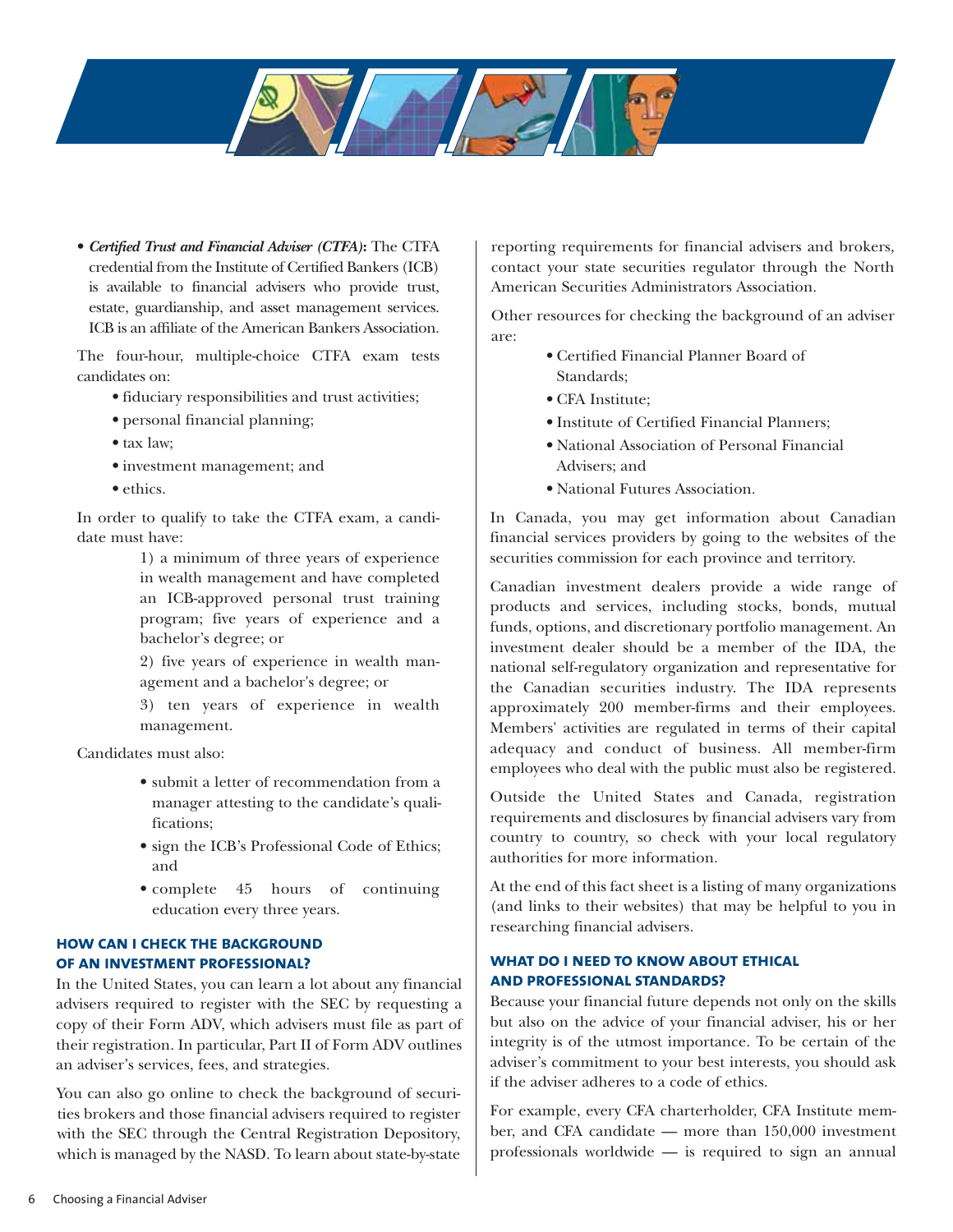

• *Certified Trust and Financial Adviser (CTFA)***:** The CTFA credential from the Institute of Certified Bankers (ICB) is available to financial advisers who provide trust, estate, guardianship, and asset management services. ICB is an affiliate of the American Bankers Association.

The four-hour, multiple-choice CTFA exam tests candidates on:

- fiduciary responsibilities and trust activities;
- personal financial planning;
- tax law;
- investment management; and
- ethics.

In order to qualify to take the CTFA exam, a candidate must have:

> 1) a minimum of three years of experience in wealth management and have completed an ICB-approved personal trust training program; five years of experience and a bachelor's degree; or

> 2) five years of experience in wealth management and a bachelor's degree; or

> 3) ten years of experience in wealth management.

Candidates must also:

- submit a letter of recommendation from a manager attesting to the candidate's qualifications;
- sign the ICB's Professional Code of Ethics; and
- complete 45 hours of continuing education every three years.

# **how can i check the background of an investment professional?**

In the United States, you can learn a lot about any financial advisers required to register with the SEC by requesting a copy of their Form ADV, which advisers must file as part of their registration. In particular, Part II of Form ADV outlines an adviser's services, fees, and strategies.

You can also go online to check the background of securities brokers and those financial advisers required to register with the SEC through the Central Registration Depository, which is managed by the NASD. To learn about state-by-state

reporting requirements for financial advisers and brokers, contact your state securities regulator through the North American Securities Administrators Association.

Other resources for checking the background of an adviser are:

- Certified Financial Planner Board of Standards;
- CFA Institute;
- Institute of Certified Financial Planners;
- National Association of Personal Financial Advisers; and
- National Futures Association.

In Canada, you may get information about Canadian financial services providers by going to the websites of the securities commission for each province and territory.

Canadian investment dealers provide a wide range of products and services, including stocks, bonds, mutual funds, options, and discretionary portfolio management. An investment dealer should be a member of the IDA, the national self-regulatory organization and representative for the Canadian securities industry. The IDA represents approximately 200 member-firms and their employees. Members' activities are regulated in terms of their capital adequacy and conduct of business. All member-firm employees who deal with the public must also be registered.

Outside the United States and Canada, registration requirements and disclosures by financial advisers vary from country to country, so check with your local regulatory authorities for more information.

At the end of this fact sheet is a listing of many organizations (and links to their websites) that may be helpful to you in researching financial advisers.

# **what do i need to know about ethical and professional standards?**

Because your financial future depends not only on the skills but also on the advice of your financial adviser, his or her integrity is of the utmost importance. To be certain of the adviser's commitment to your best interests, you should ask if the adviser adheres to a code of ethics.

For example, every CFA charterholder, CFA Institute member, and CFA candidate — more than 150,000 investment professionals worldwide — is required to sign an annual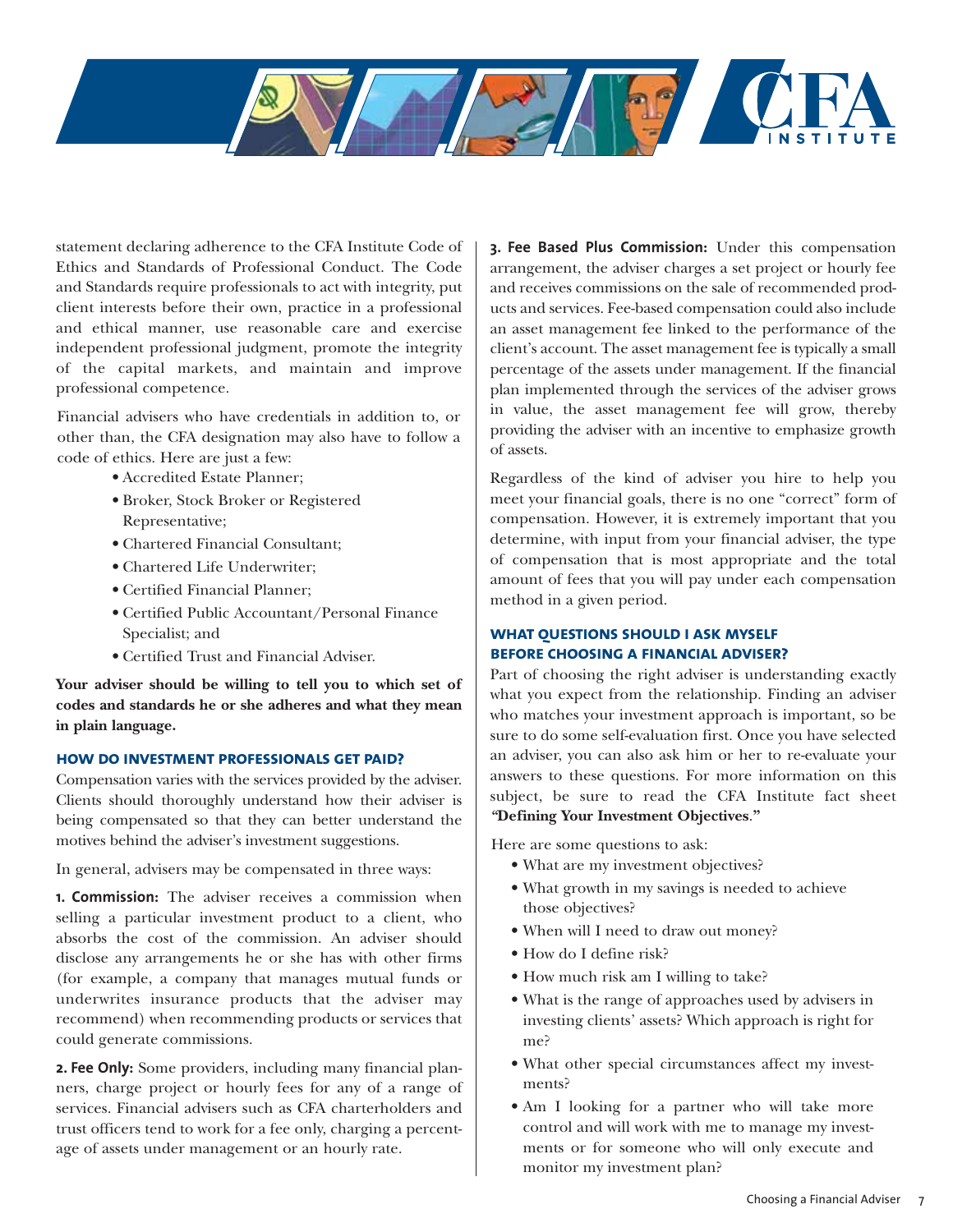

statement declaring adherence to the CFA Institute Code of Ethics and Standards of Professional Conduct. The Code and Standards require professionals to act with integrity, put client interests before their own, practice in a professional and ethical manner, use reasonable care and exercise independent professional judgment, promote the integrity of the capital markets, and maintain and improve professional competence.

Financial advisers who have credentials in addition to, or other than, the CFA designation may also have to follow a code of ethics. Here are just a few:

- Accredited Estate Planner;
- Broker, Stock Broker or Registered Representative;
- Chartered Financial Consultant;
- Chartered Life Underwriter;
- Certified Financial Planner;
- Certified Public Accountant/Personal Finance Specialist; and
- Certified Trust and Financial Adviser.

**Your adviser should be willing to tell you to which set of codes and standards he or she adheres and what they mean in plain language.**

#### **how do investment professionals get paid?**

Compensation varies with the services provided by the adviser. Clients should thoroughly understand how their adviser is being compensated so that they can better understand the motives behind the adviser's investment suggestions.

In general, advisers may be compensated in three ways:

**1. Commission:** The adviser receives a commission when selling a particular investment product to a client, who absorbs the cost of the commission. An adviser should disclose any arrangements he or she has with other firms (for example, a company that manages mutual funds or underwrites insurance products that the adviser may recommend) when recommending products or services that could generate commissions.

**2. Fee Only:** Some providers, including many financial planners, charge project or hourly fees for any of a range of services. Financial advisers such as CFA charterholders and trust officers tend to work for a fee only, charging a percentage of assets under management or an hourly rate.

**3. Fee Based Plus Commission:** Under this compensation arrangement, the adviser charges a set project or hourly fee and receives commissions on the sale of recommended products and services. Fee-based compensation could also include an asset management fee linked to the performance of the client's account. The asset management fee is typically a small percentage of the assets under management. If the financial plan implemented through the services of the adviser grows in value, the asset management fee will grow, thereby providing the adviser with an incentive to emphasize growth of assets.

Regardless of the kind of adviser you hire to help you meet your financial goals, there is no one "correct" form of compensation. However, it is extremely important that you determine, with input from your financial adviser, the type of compensation that is most appropriate and the total amount of fees that you will pay under each compensation method in a given period.

# **what questions should i ask myself before choosing a financial adviser?**

Part of choosing the right adviser is understanding exactly what you expect from the relationship. Finding an adviser who matches your investment approach is important, so be sure to do some self-evaluation first. Once you have selected an adviser, you can also ask him or her to re-evaluate your answers to these questions. For more information on this subject, be sure to read the CFA Institute fact sheet *"***Defining Your Investment Objectives**.**"**

Here are some questions to ask:

- What are my investment objectives?
- What growth in my savings is needed to achieve those objectives?
- When will I need to draw out money?
- How do I define risk?
- How much risk am I willing to take?
- What is the range of approaches used by advisers in investing clients' assets? Which approach is right for me?
- What other special circumstances affect my investments?
- Am I looking for a partner who will take more control and will work with me to manage my investments or for someone who will only execute and monitor my investment plan?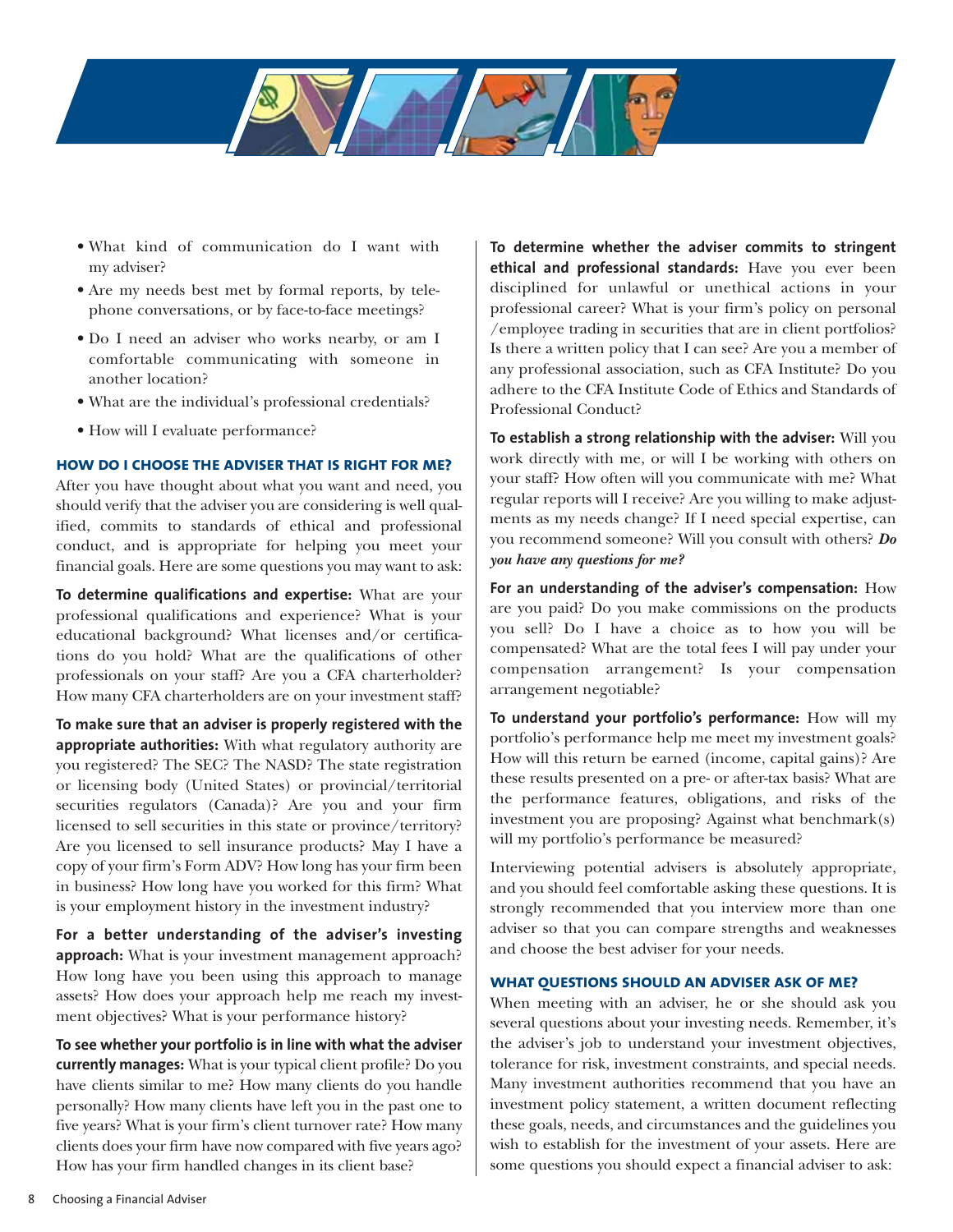

- What kind of communication do I want with my adviser?
- Are my needs best met by formal reports, by telephone conversations, or by face-to-face meetings?
- Do I need an adviser who works nearby, or am I comfortable communicating with someone in another location?
- What are the individual's professional credentials?
- How will I evaluate performance?

#### **how do i choose the adviser that is right for me?**

After you have thought about what you want and need, you should verify that the adviser you are considering is well qualified, commits to standards of ethical and professional conduct, and is appropriate for helping you meet your financial goals. Here are some questions you may want to ask:

**To determine qualifications and expertise:** What are your professional qualifications and experience? What is your educational background? What licenses and/or certifications do you hold? What are the qualifications of other professionals on your staff? Are you a CFA charterholder? How many CFA charterholders are on your investment staff?

**To make sure that an adviser is properly registered with the appropriate authorities:** With what regulatory authority are you registered? The SEC? The NASD? The state registration or licensing body (United States) or provincial/territorial securities regulators (Canada)? Are you and your firm licensed to sell securities in this state or province/territory? Are you licensed to sell insurance products? May I have a copy of your firm's Form ADV? How long has your firm been in business? How long have you worked for this firm? What is your employment history in the investment industry?

**For a better understanding of the adviser's investing approach:** What is your investment management approach? How long have you been using this approach to manage assets? How does your approach help me reach my investment objectives? What is your performance history?

**To see whether your portfolio is in line with what the adviser currently manages:** What is your typical client profile? Do you have clients similar to me? How many clients do you handle personally? How many clients have left you in the past one to five years? What is your firm's client turnover rate? How many clients does your firm have now compared with five years ago? How has your firm handled changes in its client base?

**To determine whether the adviser commits to stringent ethical and professional standards:** Have you ever been disciplined for unlawful or unethical actions in your professional career? What is your firm's policy on personal /employee trading in securities that are in client portfolios? Is there a written policy that I can see? Are you a member of any professional association, such as CFA Institute? Do you adhere to the CFA Institute Code of Ethics and Standards of Professional Conduct?

**To establish a strong relationship with the adviser:** Will you work directly with me, or will I be working with others on your staff? How often will you communicate with me? What regular reports will I receive? Are you willing to make adjustments as my needs change? If I need special expertise, can you recommend someone? Will you consult with others? *Do you have any questions for me?*

**For an understanding of the adviser's compensation:** How are you paid? Do you make commissions on the products you sell? Do I have a choice as to how you will be compensated? What are the total fees I will pay under your compensation arrangement? Is your compensation arrangement negotiable?

**To understand your portfolio's performance:** How will my portfolio's performance help me meet my investment goals? How will this return be earned (income, capital gains)? Are these results presented on a pre- or after-tax basis? What are the performance features, obligations, and risks of the investment you are proposing? Against what benchmark(s) will my portfolio's performance be measured?

Interviewing potential advisers is absolutely appropriate, and you should feel comfortable asking these questions. It is strongly recommended that you interview more than one adviser so that you can compare strengths and weaknesses and choose the best adviser for your needs.

#### **what questions should an adviser ask of me?**

When meeting with an adviser, he or she should ask you several questions about your investing needs. Remember, it's the adviser's job to understand your investment objectives, tolerance for risk, investment constraints, and special needs. Many investment authorities recommend that you have an investment policy statement, a written document reflecting these goals, needs, and circumstances and the guidelines you wish to establish for the investment of your assets. Here are some questions you should expect a financial adviser to ask: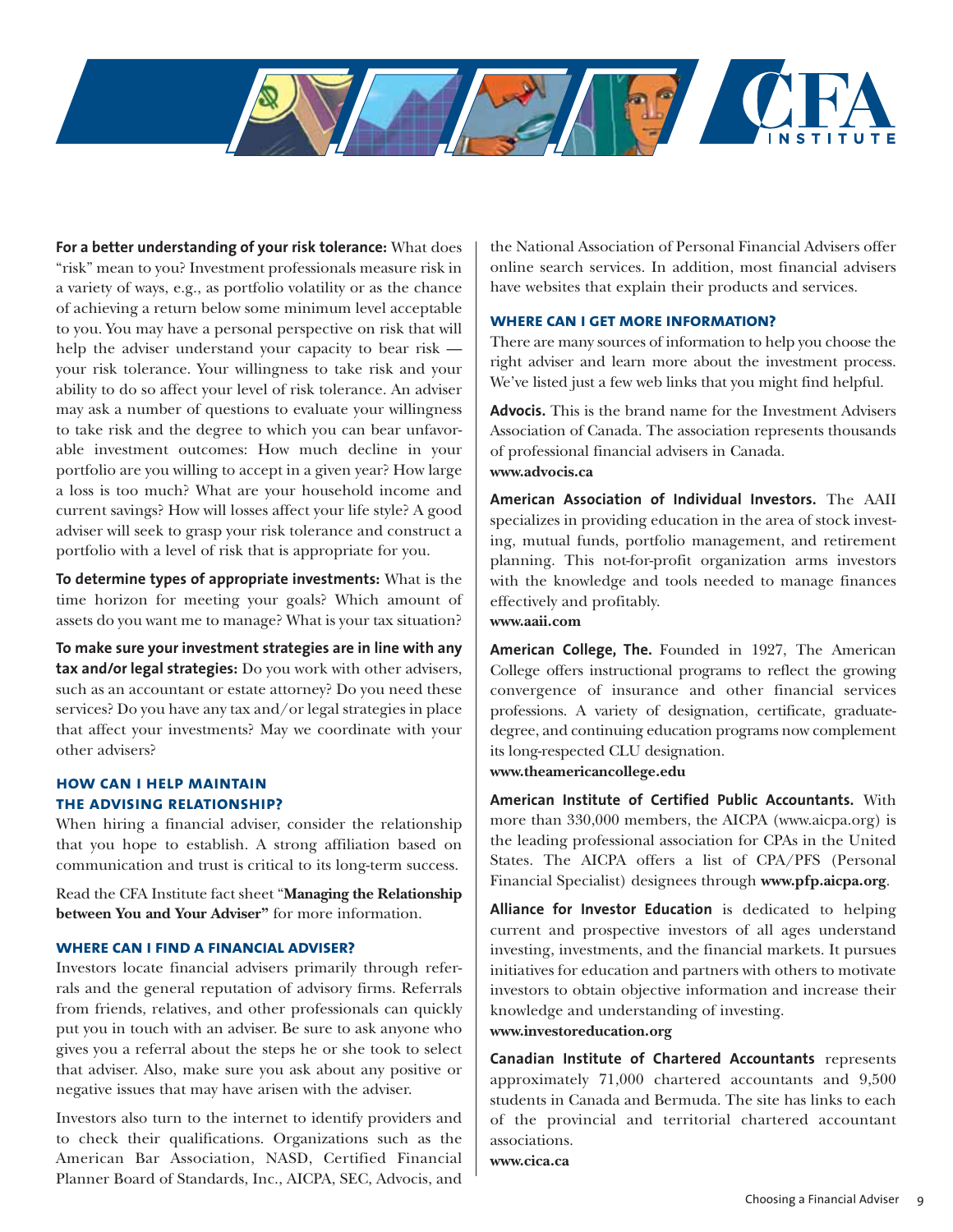

**For a better understanding of your risk tolerance:** What does "risk" mean to you? Investment professionals measure risk in a variety of ways, e.g., as portfolio volatility or as the chance of achieving a return below some minimum level acceptable to you. You may have a personal perspective on risk that will help the adviser understand your capacity to bear risk your risk tolerance. Your willingness to take risk and your ability to do so affect your level of risk tolerance. An adviser may ask a number of questions to evaluate your willingness to take risk and the degree to which you can bear unfavorable investment outcomes: How much decline in your portfolio are you willing to accept in a given year? How large a loss is too much? What are your household income and current savings? How will losses affect your life style? A good adviser will seek to grasp your risk tolerance and construct a portfolio with a level of risk that is appropriate for you.

**To determine types of appropriate investments:** What is the time horizon for meeting your goals? Which amount of assets do you want me to manage? What is your tax situation?

**To make sure your investment strategies are in line with any tax and/or legal strategies:** Do you work with other advisers, such as an accountant or estate attorney? Do you need these services? Do you have any tax and/or legal strategies in place that affect your investments? May we coordinate with your other advisers?

# **how can i help maintain the advising relationship?**

When hiring a financial adviser, consider the relationship that you hope to establish. A strong affiliation based on communication and trust is critical to its long-term success.

Read the CFA Institute fact sheet "**Managing the Relationship between You and Your Adviser"** for more information.

# **where can i find a financial adviser?**

Investors locate financial advisers primarily through referrals and the general reputation of advisory firms. Referrals from friends, relatives, and other professionals can quickly put you in touch with an adviser. Be sure to ask anyone who gives you a referral about the steps he or she took to select that adviser. Also, make sure you ask about any positive or negative issues that may have arisen with the adviser.

Investors also turn to the internet to identify providers and to check their qualifications. Organizations such as the American Bar Association, NASD, Certified Financial Planner Board of Standards, Inc., AICPA, SEC, Advocis, and

the National Association of Personal Financial Advisers offer online search services. In addition, most financial advisers have websites that explain their products and services.

#### **where can i get more information?**

There are many sources of information to help you choose the right adviser and learn more about the investment process. We've listed just a few web links that you might find helpful.

**Advocis.** This is the brand name for the Investment Advisers Association of Canada. The association represents thousands of professional financial advisers in Canada. **www.advocis.ca**

**American Association of Individual Investors.** The AAII specializes in providing education in the area of stock investing, mutual funds, portfolio management, and retirement planning. This not-for-profit organization arms investors with the knowledge and tools needed to manage finances effectively and profitably. **www.aaii.com**

**American College, The.** Founded in 1927, The American College offers instructional programs to reflect the growing convergence of insurance and other financial services professions. A variety of designation, certificate, graduatedegree, and continuing education programs now complement its long-respected CLU designation. **www.theamericancollege.edu**

**American Institute of Certified Public Accountants.** With more than 330,000 members, the AICPA (www.aicpa.org) is the leading professional association for CPAs in the United States. The AICPA offers a list of CPA/PFS (Personal Financial Specialist) designees through **www.pfp.aicpa.org**.

**Alliance for Investor Education** is dedicated to helping current and prospective investors of all ages understand investing, investments, and the financial markets. It pursues initiatives for education and partners with others to motivate investors to obtain objective information and increase their knowledge and understanding of investing.

# **www.investoreducation.org**

**Canadian Institute of Chartered Accountants** represents approximately 71,000 chartered accountants and 9,500 students in Canada and Bermuda. The site has links to each of the provincial and territorial chartered accountant associations.

**www.cica.ca**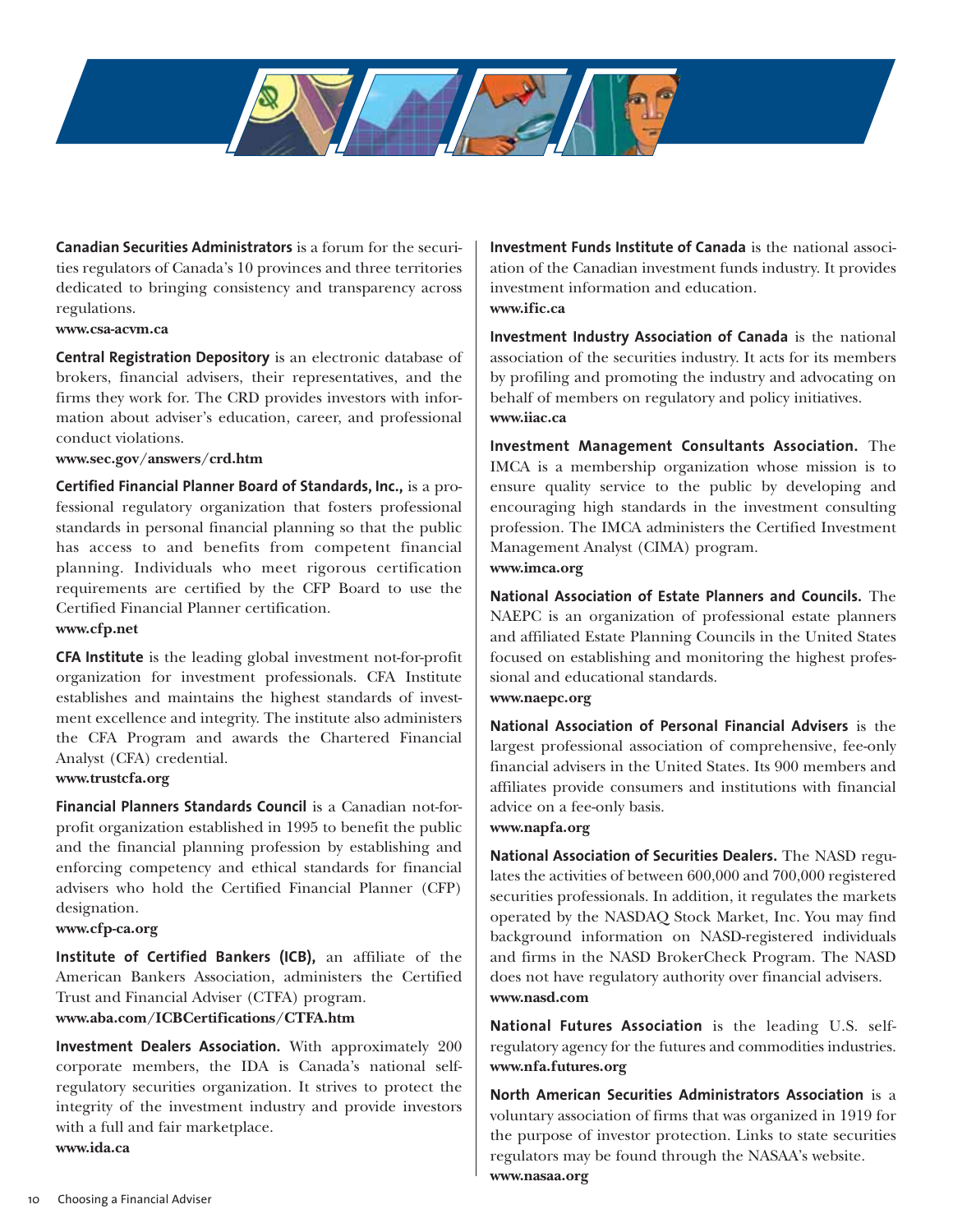**Canadian Securities Administrators** is a forum for the securities regulators of Canada's 10 provinces and three territories dedicated to bringing consistency and transparency across regulations.

#### **www.csa-acvm.ca**

**Central Registration Depository** is an electronic database of brokers, financial advisers, their representatives, and the firms they work for. The CRD provides investors with information about adviser's education, career, and professional conduct violations.

#### **www.sec.gov/answers/crd.htm**

**Certified Financial Planner Board of Standards, Inc.,** is a professional regulatory organization that fosters professional standards in personal financial planning so that the public has access to and benefits from competent financial planning. Individuals who meet rigorous certification requirements are certified by the CFP Board to use the Certified Financial Planner certification.

# **www.cfp.net**

**CFA Institute** is the leading global investment not-for-profit organization for investment professionals. CFA Institute establishes and maintains the highest standards of investment excellence and integrity. The institute also administers the CFA Program and awards the Chartered Financial Analyst (CFA) credential.

#### **www.trustcfa.org**

**Financial Planners Standards Council** is a Canadian not-forprofit organization established in 1995 to benefit the public and the financial planning profession by establishing and enforcing competency and ethical standards for financial advisers who hold the Certified Financial Planner (CFP) designation.

#### **www.cfp-ca.org**

**Institute of Certified Bankers (ICB),** an affiliate of the American Bankers Association, administers the Certified Trust and Financial Adviser (CTFA) program.

# **www.aba.com/ICBCertifications/CTFA.htm**

**Investment Dealers Association.** With approximately 200 corporate members, the IDA is Canada's national selfregulatory securities organization. It strives to protect the integrity of the investment industry and provide investors with a full and fair marketplace.

**www.ida.ca**

**Investment Funds Institute of Canada** is the national association of the Canadian investment funds industry. It provides investment information and education. **www.ific.ca**

**Investment Industry Association of Canada** is the national association of the securities industry. It acts for its members by profiling and promoting the industry and advocating on behalf of members on regulatory and policy initiatives. **www.iiac.ca**

**Investment Management Consultants Association.** The IMCA is a membership organization whose mission is to ensure quality service to the public by developing and encouraging high standards in the investment consulting profession. The IMCA administers the Certified Investment Management Analyst (CIMA) program. **www.imca.org**

**National Association of Estate Planners and Councils.** The NAEPC is an organization of professional estate planners and affiliated Estate Planning Councils in the United States focused on establishing and monitoring the highest professional and educational standards. **www.naepc.org**

**National Association of Personal Financial Advisers** is the largest professional association of comprehensive, fee-only financial advisers in the United States. Its 900 members and affiliates provide consumers and institutions with financial advice on a fee-only basis.

**www.napfa.org**

**National Association of Securities Dealers.** The NASD regulates the activities of between 600,000 and 700,000 registered securities professionals. In addition, it regulates the markets operated by the NASDAQ Stock Market, Inc. You may find background information on NASD-registered individuals and firms in the NASD BrokerCheck Program. The NASD does not have regulatory authority over financial advisers. **www.nasd.com**

**National Futures Association** is the leading U.S. selfregulatory agency for the futures and commodities industries. **www.nfa.futures.org**

**North American Securities Administrators Association** is a voluntary association of firms that was organized in 1919 for the purpose of investor protection. Links to state securities regulators may be found through the NASAA's website. **www.nasaa.org**